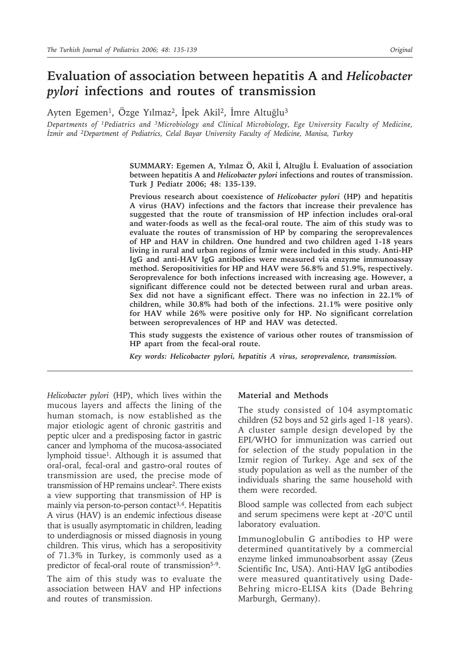# **Evaluation of association between hepatitis A and** *Helicobacter pylori* **infections and routes of transmission**

Ayten Egemen<sup>1</sup>, Özge Yılmaz<sup>2</sup>, İpek Akil<sup>2</sup>, İmre Altuğlu<sup>3</sup>

*Departments of 1Pediatrics and 3Microbiology and Clinical Microbiology, Ege University Faculty of Medicine, İzmir and 2Department of Pediatrics, Celal Bayar University Faculty of Medicine, Manisa, Turkey*

> **SUMMARY: Egemen A, Yılmaz Ö, Akil İ, Altuğlu İ. Evaluation of association between hepatitis A and** *Helicobacter pylori* **infections and routes of transmission. Turk J Pediatr 2006; 48: 135-139.**

> **Previous research about coexistence of** *Helicobacter pylori* **(HP) and hepatitis A virus (HAV) infections and the factors that increase their prevalence has suggested that the route of transmission of HP infection includes oral-oral and water-foods as well as the fecal-oral route. The aim of this study was to evaluate the routes of transmission of HP by comparing the seroprevalences of HP and HAV in children. One hundred and two children aged 1-18 years living in rural and urban regions of İzmir were included in this study. Anti-HP IgG and anti-HAV IgG antibodies were measured via enzyme immunoassay method. Seropositivities for HP and HAV were 56.8% and 51.9%, respectively. Seroprevalence for both infections increased with increasing age. However, a significant difference could not be detected between rural and urban areas. Sex did not have a significant effect. There was no infection in 22.1% of children, while 30.8% had both of the infections. 21.1% were positive only for HAV while 26% were positive only for HP. No significant correlation between seroprevalences of HP and HAV was detected.**

> **This study suggests the existence of various other routes of transmission of HP apart from the fecal-oral route.**

*Key words: Helicobacter pylori, hepatitis A virus, seroprevalence, transmission.*

*Helicobacter pylori* (HP), which lives within the mucous layers and affects the lining of the human stomach, is now established as the major etiologic agent of chronic gastritis and peptic ulcer and a predisposing factor in gastric cancer and lymphoma of the mucosa-associated lymphoid tissue<sup>1</sup>. Although it is assumed that oral-oral, fecal-oral and gastro-oral routes of transmission are used, the precise mode of transmission of HP remains unclear2. There exists a view supporting that transmission of HP is mainly via person-to-person contact<sup>3,4</sup>. Hepatitis A virus (HAV) is an endemic infectious disease that is usually asymptomatic in children, leading to underdiagnosis or missed diagnosis in young children. This virus, which has a seropositivity of 71.3% in Turkey, is commonly used as a predictor of fecal-oral route of transmission<sup>5-9</sup>.

The aim of this study was to evaluate the association between HAV and HP infections and routes of transmission.

#### **Material and Methods**

The study consisted of 104 asymptomatic children (52 boys and 52 girls aged 1-18 years). A cluster sample design developed by the EPI/WHO for immunization was carried out for selection of the study population in the Izmir region of Turkey. Age and sex of the study population as well as the number of the individuals sharing the same household with them were recorded.

Blood sample was collected from each subject and serum specimens were kept at -20°C until laboratory evaluation.

Immunoglobulin G antibodies to HP were determined quantitatively by a commercial enzyme linked immunoabsorbent assay (Zeus Scientific Inc, USA). Anti-HAV IgG antibodies were measured quantitatively using Dade-Behring micro-ELISA kits (Dade Behring Marburgh, Germany).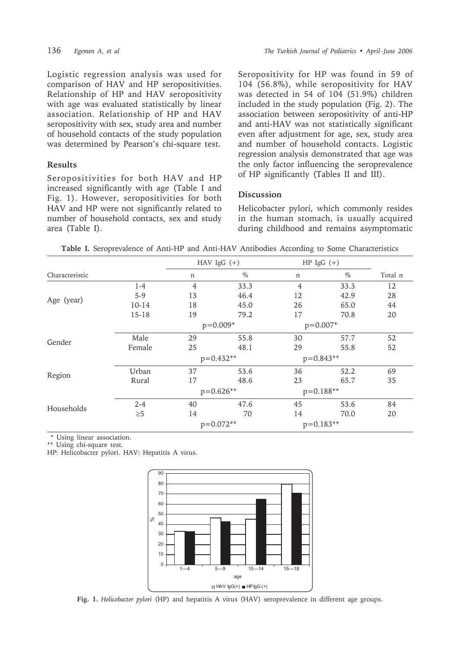Logistic regression analysis was used for comparison of HAV and HP seropositivities. Relationship of HP and HAV seropositivity with age was evaluated statistically by linear association. Relationship of HP and HAV seropositivity with sex, study area and number of household contacts of the study population was determined by Pearson's chi-square test.

## **Results**

Seropositivities for both HAV and HP increased significantly with age (Table I and Fig. 1). However, seropositivities for both HAV and HP were not significantly related to number of household contacts, sex and study area (Table I).

Seropositivity for HP was found in 59 of 104 (56.8%), while seropositivity for HAV was detected in 54 of 104 (51.9%) children included in the study population (Fig. 2). The association between seropositivity of anti-HP and anti-HAV was not statistically significant even after adjustment for age, sex, study area and number of household contacts. Logistic regression analysis demonstrated that age was the only factor influencing the seroprevalence of HP significantly (Tables II and III).

## **Discussion**

Helicobacter pylori, which commonly resides in the human stomach, is usually acquired during childhood and remains asymptomatic

**Table I.** Seroprevalence of Anti-HP and Anti-HAV Antibodies According to Some Characteristics

|                |           | HAV $IgG (+)$  |            | $HP \lg G (+)$ |            |         |
|----------------|-----------|----------------|------------|----------------|------------|---------|
| Characteristic |           | n              | $\%$       | n              | $\%$       | Total n |
| Age (year)     | $1-4$     | $\overline{4}$ | 33.3       | $\overline{4}$ | 33.3       | 12      |
|                | $5-9$     | 13             | 46.4       | 12             | 42.9       | 28      |
|                | $10-14$   | 18             | 45.0       | 26             | 65.0       | 44      |
|                | $15 - 18$ | 19             | 79.2       | 17             | 70.8       | 20      |
|                |           |                | $p=0.009*$ |                | $p=0.007*$ |         |
| Gender         | Male      | 29             | 55.8       | 30             | 57.7       | 52      |
|                | Female    | 25             | 48.1       | 29             | 55.8       | 52      |
|                |           | $p=0.432**$    |            | $p=0.843**$    |            |         |
| Region         | Urban     | 37             | 53.6       | 36             | 52.2       | 69      |
|                | Rural     | 17             | 48.6       | 23             | 65.7       | 35      |
|                |           | $p=0.626**$    |            | $p=0.188**$    |            |         |
| Households     | $2 - 4$   | 40             | 47.6       | 45             | 53.6       | 84      |
|                | $\geq 5$  | 14             | 70         | 14             | 70.0       | 20      |
|                |           | $p=0.072**$    |            | $p=0.183**$    |            |         |

\* Using linear association.

\*\* Using chi-square test.

HP: Helicobacter pylori. HAV: Hepatitis A virus.



**Fig. 1.** *Helicobacter pylori* (HP) and hepatitis A virus (HAV) seroprevalence in different age groups.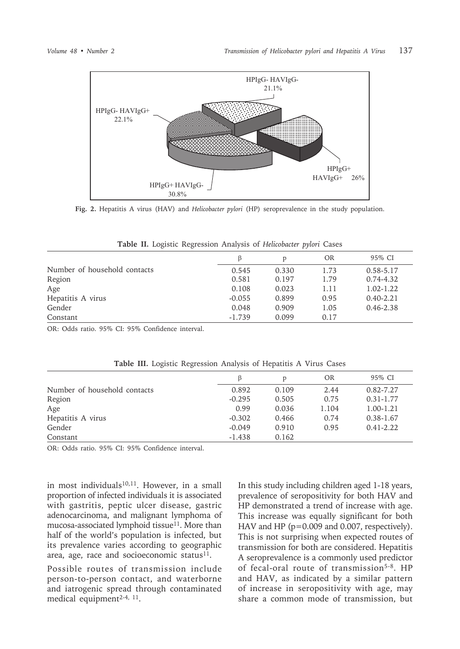

Fig. 2. Hepatitis A virus (HAV) and Helicobacter pylori (HP) seroprevalence in the study population.

|                              | ß        | D     | OR   | 95% CI        |
|------------------------------|----------|-------|------|---------------|
| Number of household contacts | 0.545    | 0.330 | 1.73 | $0.58 - 5.17$ |
| Region                       | 0.581    | 0.197 | 1.79 | $0.74 - 4.32$ |
| Age                          | 0.108    | 0.023 | 1.11 | $1.02 - 1.22$ |
| Hepatitis A virus            | $-0.055$ | 0.899 | 0.95 | $0.40 - 2.21$ |
| Gender                       | 0.048    | 0.909 | 1.05 | $0.46 - 2.38$ |
| Constant                     | $-1.739$ | 0.099 | 0.17 |               |

| <b>Table II.</b> Logistic Regression Analysis of Helicobacter pylori Cases |
|----------------------------------------------------------------------------|
|----------------------------------------------------------------------------|

OR: Odds ratio. 95% CI: 95% Confidence interval.

|                              | B        | D     | <b>OR</b> | 95% CI        |
|------------------------------|----------|-------|-----------|---------------|
| Number of household contacts | 0.892    | 0.109 | 2.44      | $0.82 - 7.27$ |
| Region                       | $-0.295$ | 0.505 | 0.75      | $0.31 - 1.77$ |
| Age                          | 0.99     | 0.036 | 1.104     | 1.00-1.21     |
| Hepatitis A virus            | $-0.302$ | 0.466 | 0.74      | $0.38 - 1.67$ |
| Gender                       | $-0.049$ | 0.910 | 0.95      | $0.41 - 2.22$ |
| Constant                     | $-1.438$ | 0.162 |           |               |

Table III. Logistic Regression Analysis of Hepatitis A Virus Cases

OR: Odds ratio, 95% CI: 95% Confidence interval.

in most individuals<sup>10,11</sup>. However, in a small proportion of infected individuals it is associated with gastritis, peptic ulcer disease, gastric adenocarcinoma, and malignant lymphoma of mucosa-associated lymphoid tissue<sup>11</sup>. More than half of the world's population is infected, but its prevalence varies according to geographic area, age, race and socioeconomic status<sup>11</sup>.

Possible routes of transmission include person-to-person contact, and waterborne and iatrogenic spread through contaminated medical equipment<sup>2-4, 11</sup>.

In this study including children aged 1-18 years, prevalence of seropositivity for both HAV and HP demonstrated a trend of increase with age. This increase was equally significant for both HAV and HP (p=0.009 and 0.007, respectively). This is not surprising when expected routes of transmission for both are considered. Hepatitis A seroprevalence is a commonly used predictor of fecal-oral route of transmission<sup>5-8</sup>. HP and HAV, as indicated by a similar pattern of increase in seropositivity with age, may share a common mode of transmission, but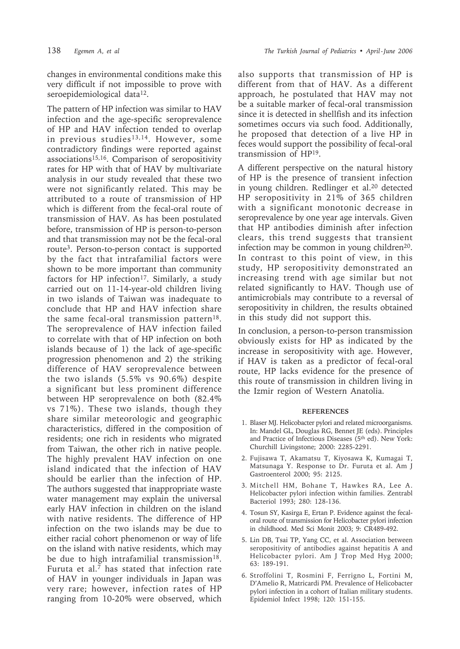changes in environmental conditions make this very difficult if not impossible to prove with seroepidemiological data<sup>12</sup>.

The pattern of HP infection was similar to HAV infection and the age-specific seroprevalence of HP and HAV infection tended to overlap in previous studies<sup>13,14</sup>. However, some contradictory findings were reported against associations15,16. Comparison of seropositivity rates for HP with that of HAV by multivariate analysis in our study revealed that these two were not significantly related. This may be attributed to a route of transmission of HP which is different from the fecal-oral route of transmission of HAV. As has been postulated before, transmission of HP is person-to-person and that transmission may not be the fecal-oral route3. Person-to-person contact is supported by the fact that intrafamilial factors were shown to be more important than community factors for HP infection<sup>17</sup>. Similarly, a study carried out on 11-14-year-old children living in two islands of Taiwan was inadequate to conclude that HP and HAV infection share the same fecal-oral transmission pattern<sup>18</sup>. The seroprevalence of HAV infection failed to correlate with that of HP infection on both islands because of 1) the lack of age-specific progression phenomenon and 2) the striking difference of HAV seroprevalence between the two islands (5.5% vs 90.6%) despite a significant but less prominent difference between HP seroprevalence on both (82.4% vs 71%). These two islands, though they share similar meteorologic and geographic characteristics, differed in the composition of residents; one rich in residents who migrated from Taiwan, the other rich in native people. The highly prevalent HAV infection on one island indicated that the infection of HAV should be earlier than the infection of HP. The authors suggested that inappropriate waste water management may explain the universal early HAV infection in children on the island with native residents. The difference of HP infection on the two islands may be due to either racial cohort phenomenon or way of life on the island with native residents, which may be due to high intrafamilial transmission $18$ . Furuta et al.7 has stated that infection rate of HAV in younger individuals in Japan was very rare; however, infection rates of HP ranging from 10-20% were observed, which

also supports that transmission of HP is different from that of HAV. As a different approach, he postulated that HAV may not be a suitable marker of fecal-oral transmission since it is detected in shellfish and its infection sometimes occurs via such food. Additionally, he proposed that detection of a live HP in feces would support the possibility of fecal-oral transmission of HP19.

A different perspective on the natural history of HP is the presence of transient infection in young children. Redlinger et al.20 detected HP seropositivity in 21% of 365 children with a significant monotonic decrease in seroprevalence by one year age intervals. Given that HP antibodies diminish after infection clears, this trend suggests that transient infection may be common in young children<sup>20</sup>. In contrast to this point of view, in this study, HP seropositivity demonstrated an increasing trend with age similar but not related significantly to HAV. Though use of antimicrobials may contribute to a reversal of seropositivity in children, the results obtained in this study did not support this.

In conclusion, a person-to-person transmission obviously exists for HP as indicated by the increase in seropositivity with age. However, if HAV is taken as a predictor of fecal-oral route, HP lacks evidence for the presence of this route of transmission in children living in the Izmir region of Western Anatolia.

### **REFERENCES**

- 1. Blaser MJ. Helicobacter pylori and related microorganisms. In: Mandel GL, Douglas RG, Bennet JE (eds). Principles and Practice of Infectious Diseases (5th ed). New York: Churchill Livingstone; 2000: 2285-2291.
- 2. Fujisawa T, Akamatsu T, Kiyosawa K, Kumagai T, Matsunaga Y. Response to Dr. Furuta et al. Am J Gastroenterol 2000; 95: 2125.
- 3. Mitchell HM, Bohane T, Hawkes RA, Lee A. Helicobacter pylori infection within families. Zentrabl Bacteriol 1993; 280: 128-136.
- 4. Tosun SY, Kasirga E, Ertan P. Evidence against the fecaloral route of transmission for Helicobacter pylori infection in childhood. Med Sci Monit 2003; 9: CR489-492.
- 5. Lin DB, Tsai TP, Yang CC, et al. Association between seropositivity of antibodies against hepatitis A and Helicobacter pylori. Am J Trop Med Hyg 2000; 63: 189-191.
- 6. Stroffolini T, Rosmini F, Ferrigno L, Fortini M, D'Amelio R, Matricardi PM. Prevalence of Helicobacter pylori infection in a cohort of Italian military students. Epidemiol Infect 1998; 120: 151-155.